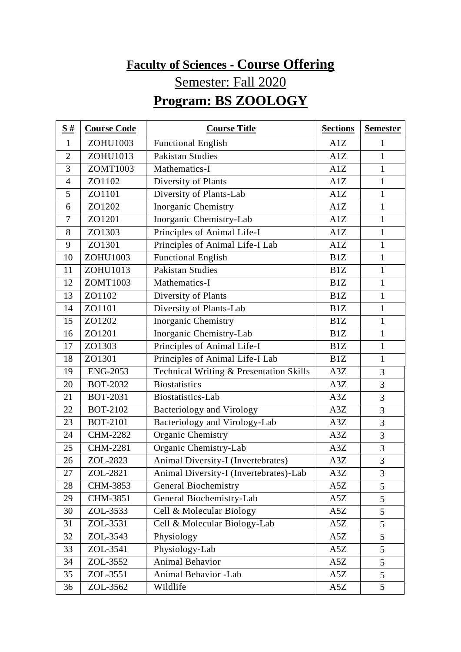## **Faculty of Sciences - Course Offering** Semester: Fall 2020 **Program: BS ZOOLOGY**

| S#             | <b>Course Code</b> | <b>Course Title</b>                     | <b>Sections</b> | <b>Semester</b> |
|----------------|--------------------|-----------------------------------------|-----------------|-----------------|
| $\mathbf{1}$   | ZOHU1003           | <b>Functional English</b>               | A1Z             | $\mathbf{1}$    |
| $\overline{2}$ | ZOHU1013           | <b>Pakistan Studies</b>                 | A1Z             | $\mathbf{1}$    |
| 3              | ZOMT1003           | Mathematics-I                           | A1Z             | $\mathbf{1}$    |
| $\overline{4}$ | ZO1102             | Diversity of Plants                     | A1Z             | $\mathbf{1}$    |
| 5              | ZO1101             | Diversity of Plants-Lab                 | A1Z             | $\mathbf{1}$    |
| 6              | ZO1202             | Inorganic Chemistry                     | A1Z             | $\mathbf{1}$    |
| 7              | ZO1201             | Inorganic Chemistry-Lab                 | A1Z             | $\mathbf{1}$    |
| 8              | ZO1303             | Principles of Animal Life-I             | A1Z             | $\mathbf{1}$    |
| 9              | ZO1301             | Principles of Animal Life-I Lab         | A1Z             | $\mathbf{1}$    |
| 10             | ZOHU1003           | <b>Functional English</b>               | B1Z             | $\mathbf{1}$    |
| 11             | ZOHU1013           | <b>Pakistan Studies</b>                 | B1Z             | $\mathbf{1}$    |
| 12             | ZOMT1003           | Mathematics-I                           | B1Z             | $\mathbf{1}$    |
| 13             | ZO1102             | Diversity of Plants                     | B1Z             | $\mathbf{1}$    |
| 14             | ZO1101             | Diversity of Plants-Lab                 | B1Z             | $\mathbf{1}$    |
| 15             | ZO1202             | Inorganic Chemistry                     | B1Z             | $\mathbf{1}$    |
| 16             | ZO1201             | Inorganic Chemistry-Lab                 | B1Z             | $\mathbf{1}$    |
| 17             | ZO1303             | Principles of Animal Life-I             | B1Z             | $\mathbf{1}$    |
| 18             | ZO1301             | Principles of Animal Life-I Lab         | B1Z             | $\mathbf{1}$    |
| 19             | <b>ENG-2053</b>    | Technical Writing & Presentation Skills | A3Z             | 3               |
| 20             | <b>BOT-2032</b>    | <b>Biostatistics</b>                    | A3Z             | 3               |
| 21             | <b>BOT-2031</b>    | Biostatistics-Lab                       | A3Z             | 3               |
| 22             | <b>BOT-2102</b>    | <b>Bacteriology and Virology</b>        | A3Z             | 3               |
| 23             | <b>BOT-2101</b>    | Bacteriology and Virology-Lab           | A3Z             | 3               |
| 24             | <b>CHM-2282</b>    | Organic Chemistry                       | A3Z             | 3               |
| 25             | <b>CHM-2281</b>    | Organic Chemistry-Lab                   | A3Z             | 3               |
| 26             | ZOL-2823           | Animal Diversity-I (Invertebrates)      | A3Z             | 3               |
| 27             | ZOL-2821           | Animal Diversity-I (Invertebrates)-Lab  | A3Z             | 3               |
| 28             | CHM-3853           | <b>General Biochemistry</b>             | A5Z             | 5               |
| 29             | CHM-3851           | General Biochemistry-Lab                | A5Z             | 5               |
| 30             | ZOL-3533           | Cell & Molecular Biology                | A5Z             | 5               |
| 31             | ZOL-3531           | Cell & Molecular Biology-Lab            | A5Z             | 5               |
| 32             | ZOL-3543           | Physiology                              | A5Z             | 5               |
| 33             | ZOL-3541           | Physiology-Lab                          | A5Z             | 5               |
| 34             | ZOL-3552           | Animal Behavior                         | A5Z             | 5               |
| 35             | ZOL-3551           | Animal Behavior -Lab                    | A5Z             | 5               |
| 36             | ZOL-3562           | Wildlife                                | A5Z             | 5               |